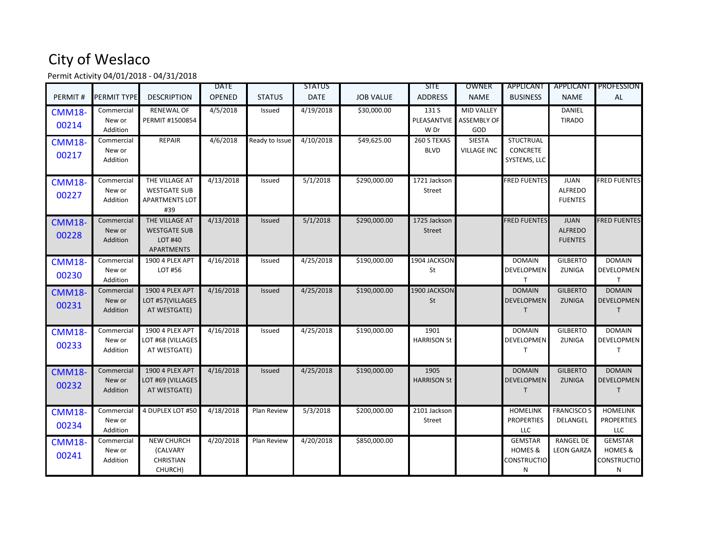## City of Weslaco

Permit Activity 04/01/2018 - 04/31/2018

| PERMIT#                | <b>PERMIT TYPE</b>               | <b>DESCRIPTION</b>                                                    | <b>DATE</b><br>OPENED | <b>STATUS</b>  | <b>STATUS</b><br><b>DATE</b> | <b>JOB VALUE</b> | <b>SITE</b><br><b>ADDRESS</b> | OWNER<br><b>NAME</b>                           | APPLICANT<br><b>BUSINESS</b>                                    | APPLICANT<br><b>NAME</b>                        | <b>PROFESSION</b><br><b>AL</b>                                  |
|------------------------|----------------------------------|-----------------------------------------------------------------------|-----------------------|----------------|------------------------------|------------------|-------------------------------|------------------------------------------------|-----------------------------------------------------------------|-------------------------------------------------|-----------------------------------------------------------------|
| <b>CMM18-</b><br>00214 | Commercial<br>New or<br>Addition | <b>RENEWAL OF</b><br>PERMIT #1500854                                  | 4/5/2018              | Issued         | 4/19/2018                    | \$30,000.00      | 131 S<br>PLEASANTVIE<br>W Dr  | <b>MID VALLEY</b><br><b>ASSEMBLY OF</b><br>GOD |                                                                 | <b>DANIEL</b><br><b>TIRADO</b>                  |                                                                 |
| <b>CMM18-</b><br>00217 | Commercial<br>New or<br>Addition | <b>REPAIR</b>                                                         | 4/6/2018              | Ready to Issue | 4/10/2018                    | \$49,625.00      | 260 S TEXAS<br><b>BLVD</b>    | <b>SIESTA</b><br><b>VILLAGE INC</b>            | <b>STUCTRUAL</b><br><b>CONCRETE</b><br>SYSTEMS, LLC             |                                                 |                                                                 |
| <b>CMM18-</b><br>00227 | Commercial<br>New or<br>Addition | THE VILLAGE AT<br><b>WESTGATE SUB</b><br><b>APARTMENTS LOT</b><br>#39 | 4/13/2018             | Issued         | 5/1/2018                     | \$290,000.00     | 1721 Jackson<br><b>Street</b> |                                                | <b>FRED FUENTES</b>                                             | <b>JUAN</b><br><b>ALFREDO</b><br><b>FUENTES</b> | <b>FRED FUENTES</b>                                             |
| <b>CMM18-</b><br>00228 | Commercial<br>New or<br>Addition | THE VILLAGE AT<br><b>WESTGATE SUB</b><br>LOT #40<br><b>APARTMENTS</b> | 4/13/2018             | Issued         | 5/1/2018                     | \$290,000.00     | 1725 Jackson<br><b>Street</b> |                                                | <b>FRED FUENTES</b>                                             | <b>JUAN</b><br><b>ALFREDO</b><br><b>FUENTES</b> | <b>FRED FUENTES</b>                                             |
| <b>CMM18-</b><br>00230 | Commercial<br>New or<br>Addition | 1900 4 PLEX APT<br>LOT #56                                            | 4/16/2018             | Issued         | 4/25/2018                    | \$190,000.00     | 1904 JACKSON<br>St            |                                                | <b>DOMAIN</b><br><b>DEVELOPMEN</b><br>T.                        | <b>GILBERTO</b><br><b>ZUNIGA</b>                | <b>DOMAIN</b><br>DEVELOPMEN                                     |
| <b>CMM18-</b><br>00231 | Commercial<br>New or<br>Addition | <b>1900 4 PLEX APT</b><br>LOT #57(VILLAGES<br>AT WESTGATE)            | 4/16/2018             | <b>Issued</b>  | 4/25/2018                    | \$190,000.00     | 1900 JACKSON<br>St            |                                                | <b>DOMAIN</b><br><b>DEVELOPMEN</b><br>Τ                         | <b>GILBERTO</b><br>ZUNIGA                       | <b>DOMAIN</b><br><b>DEVELOPMEN</b><br>$\mathsf{T}$              |
| <b>CMM18-</b><br>00233 | Commercial<br>New or<br>Addition | 1900 4 PLEX APT<br>LOT #68 (VILLAGES<br>AT WESTGATE)                  | 4/16/2018             | Issued         | 4/25/2018                    | \$190,000.00     | 1901<br><b>HARRISON St</b>    |                                                | <b>DOMAIN</b><br><b>DEVELOPMEN</b><br>T.                        | <b>GILBERTO</b><br>ZUNIGA                       | <b>DOMAIN</b><br>DEVELOPMEN                                     |
| <b>CMM18-</b><br>00232 | Commercial<br>New or<br>Addition | 1900 4 PLEX APT<br>LOT #69 (VILLAGES<br>AT WESTGATE)                  | 4/16/2018             | <b>Issued</b>  | 4/25/2018                    | \$190,000.00     | 1905<br><b>HARRISON St</b>    |                                                | <b>DOMAIN</b><br><b>DEVELOPMEN</b><br>T                         | <b>GILBERTO</b><br><b>ZUNIGA</b>                | <b>DOMAIN</b><br>DEVELOPMEN                                     |
| <b>CMM18-</b><br>00234 | Commercial<br>New or<br>Addition | 4 DUPLEX LOT #50                                                      | 4/18/2018             | Plan Review    | 5/3/2018                     | \$200,000.00     | 2101 Jackson<br>Street        |                                                | <b>HOMELINK</b><br><b>PROPERTIES</b><br><b>LLC</b>              | <b>FRANCISCO S</b><br>DELANGEL                  | <b>HOMELINK</b><br><b>PROPERTIES</b><br><b>LLC</b>              |
| <b>CMM18-</b><br>00241 | Commercial<br>New or<br>Addition | <b>NEW CHURCH</b><br>(CALVARY<br><b>CHRISTIAN</b><br>CHURCH)          | 4/20/2018             | Plan Review    | 4/20/2018                    | \$850,000.00     |                               |                                                | <b>GEMSTAR</b><br><b>HOMES &amp;</b><br><b>CONSTRUCTIO</b><br>N | <b>RANGEL DE</b><br><b>LEON GARZA</b>           | <b>GEMSTAR</b><br><b>HOMES &amp;</b><br><b>CONSTRUCTIO</b><br>N |